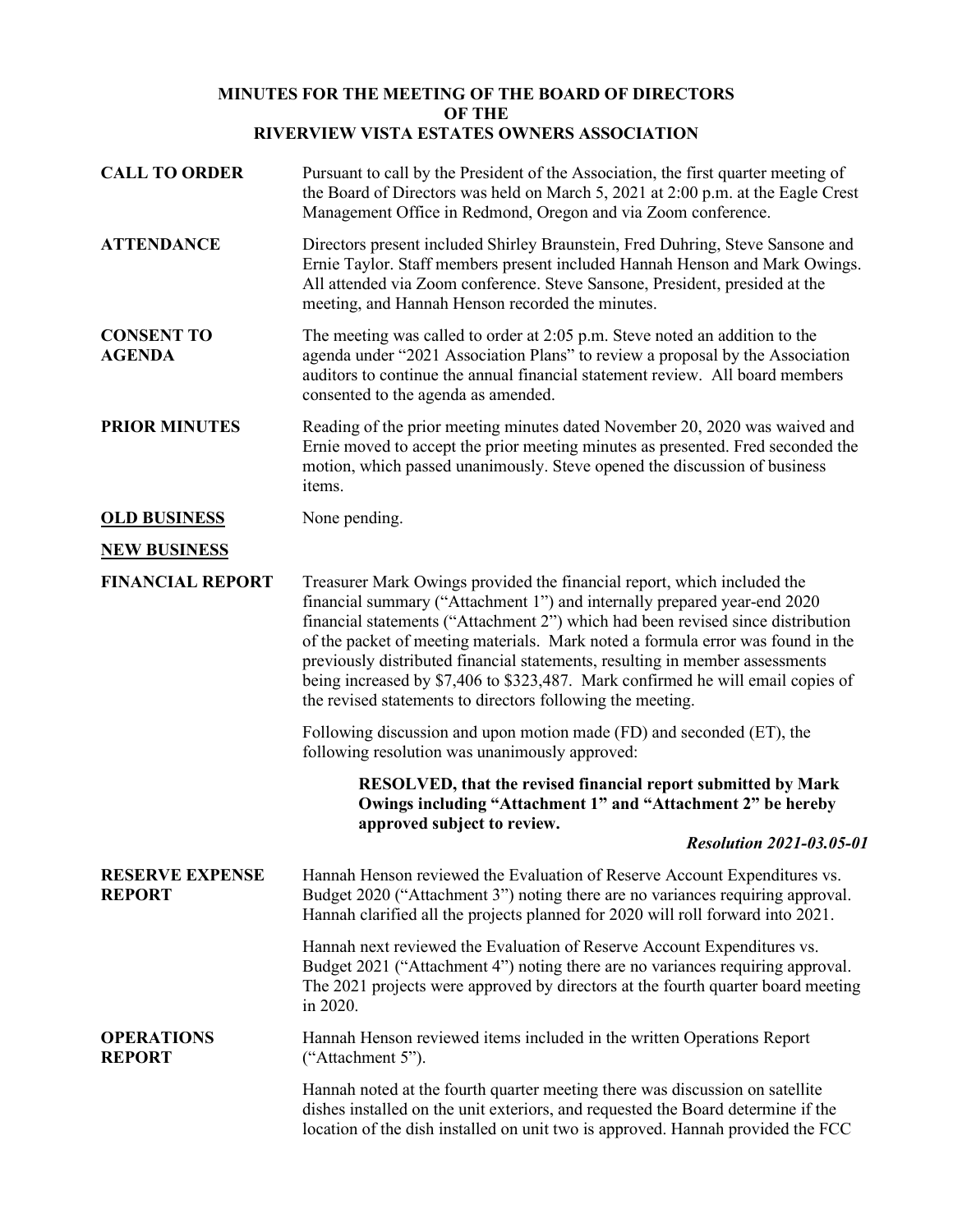## **MINUTES FOR THE MEETING OF THE BOARD OF DIRECTORS OF THE RIVERVIEW VISTA ESTATES OWNERS ASSOCIATION**

| <b>CALL TO ORDER</b>                    | Pursuant to call by the President of the Association, the first quarter meeting of<br>the Board of Directors was held on March 5, 2021 at 2:00 p.m. at the Eagle Crest<br>Management Office in Redmond, Oregon and via Zoom conference.                                                                                                                                                                                                                                                                                                                    |
|-----------------------------------------|------------------------------------------------------------------------------------------------------------------------------------------------------------------------------------------------------------------------------------------------------------------------------------------------------------------------------------------------------------------------------------------------------------------------------------------------------------------------------------------------------------------------------------------------------------|
| <b>ATTENDANCE</b>                       | Directors present included Shirley Braunstein, Fred Duhring, Steve Sansone and<br>Ernie Taylor. Staff members present included Hannah Henson and Mark Owings.<br>All attended via Zoom conference. Steve Sansone, President, presided at the<br>meeting, and Hannah Henson recorded the minutes.                                                                                                                                                                                                                                                           |
| <b>CONSENT TO</b><br><b>AGENDA</b>      | The meeting was called to order at $2:05$ p.m. Steve noted an addition to the<br>agenda under "2021 Association Plans" to review a proposal by the Association<br>auditors to continue the annual financial statement review. All board members<br>consented to the agenda as amended.                                                                                                                                                                                                                                                                     |
| <b>PRIOR MINUTES</b>                    | Reading of the prior meeting minutes dated November 20, 2020 was waived and<br>Ernie moved to accept the prior meeting minutes as presented. Fred seconded the<br>motion, which passed unanimously. Steve opened the discussion of business<br>items.                                                                                                                                                                                                                                                                                                      |
| <b>OLD BUSINESS</b>                     | None pending.                                                                                                                                                                                                                                                                                                                                                                                                                                                                                                                                              |
| <b>NEW BUSINESS</b>                     |                                                                                                                                                                                                                                                                                                                                                                                                                                                                                                                                                            |
| <b>FINANCIAL REPORT</b>                 | Treasurer Mark Owings provided the financial report, which included the<br>financial summary ("Attachment 1") and internally prepared year-end 2020<br>financial statements ("Attachment 2") which had been revised since distribution<br>of the packet of meeting materials. Mark noted a formula error was found in the<br>previously distributed financial statements, resulting in member assessments<br>being increased by \$7,406 to \$323,487. Mark confirmed he will email copies of<br>the revised statements to directors following the meeting. |
|                                         | Following discussion and upon motion made (FD) and seconded (ET), the<br>following resolution was unanimously approved:                                                                                                                                                                                                                                                                                                                                                                                                                                    |
|                                         | RESOLVED, that the revised financial report submitted by Mark<br>Owings including "Attachment 1" and "Attachment 2" be hereby<br>approved subject to review.                                                                                                                                                                                                                                                                                                                                                                                               |
|                                         | <b>Resolution 2021-03.05-01</b>                                                                                                                                                                                                                                                                                                                                                                                                                                                                                                                            |
| <b>RESERVE EXPENSE</b><br><b>REPORT</b> | Hannah Henson reviewed the Evaluation of Reserve Account Expenditures vs.<br>Budget 2020 ("Attachment 3") noting there are no variances requiring approval.<br>Hannah clarified all the projects planned for 2020 will roll forward into 2021.                                                                                                                                                                                                                                                                                                             |
|                                         | Hannah next reviewed the Evaluation of Reserve Account Expenditures vs.<br>Budget 2021 ("Attachment 4") noting there are no variances requiring approval.<br>The 2021 projects were approved by directors at the fourth quarter board meeting<br>in 2020.                                                                                                                                                                                                                                                                                                  |
| <b>OPERATIONS</b><br><b>REPORT</b>      | Hannah Henson reviewed items included in the written Operations Report<br>("Attachment 5").                                                                                                                                                                                                                                                                                                                                                                                                                                                                |
|                                         | Hannah noted at the fourth quarter meeting there was discussion on satellite<br>dishes installed on the unit exteriors, and requested the Board determine if the<br>location of the dish installed on unit two is approved. Hannah provided the FCC                                                                                                                                                                                                                                                                                                        |